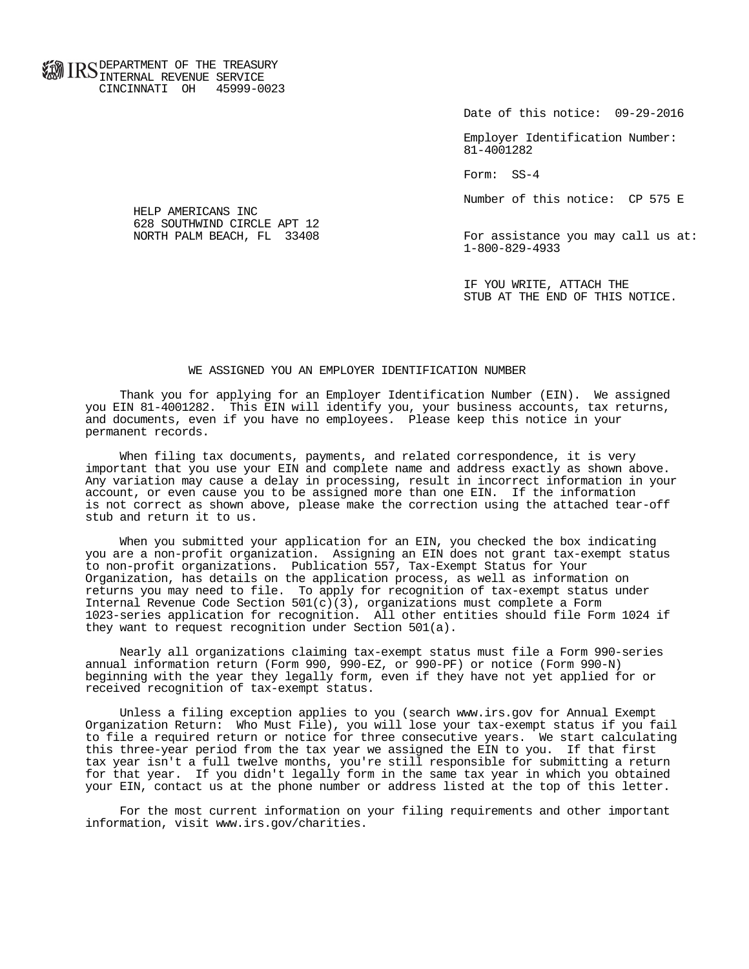**FOR ID C** DEPARTMENT OF THE TREASURY **WWW IIND** INTERNAL REVENUE SERVICE CINCINNATI OH 45999-0023

Date of this notice: 09-29-2016

 Employer Identification Number: 81-4001282

Form: SS-4

Number of this notice: CP 575 E

For assistance you may call us at: 1-800-829-4933

 IF YOU WRITE, ATTACH THE STUB AT THE END OF THIS NOTICE.

## WE ASSIGNED YOU AN EMPLOYER IDENTIFICATION NUMBER

 Thank you for applying for an Employer Identification Number (EIN). We assigned you EIN 81-4001282. This EIN will identify you, your business accounts, tax returns, and documents, even if you have no employees. Please keep this notice in your permanent records.

 When filing tax documents, payments, and related correspondence, it is very important that you use your EIN and complete name and address exactly as shown above. Any variation may cause a delay in processing, result in incorrect information in your account, or even cause you to be assigned more than one EIN. If the information is not correct as shown above, please make the correction using the attached tear-off stub and return it to us.

 When you submitted your application for an EIN, you checked the box indicating you are a non-profit organization. Assigning an EIN does not grant tax-exempt status to non-profit organizations. Publication 557, Tax-Exempt Status for Your Organization, has details on the application process, as well as information on returns you may need to file. To apply for recognition of tax-exempt status under Internal Revenue Code Section  $501(c)(3)$ , organizations must complete a Form 1023-series application for recognition. All other entities should file Form 1024 if they want to request recognition under Section 501(a).

 Nearly all organizations claiming tax-exempt status must file a Form 990-series annual information return (Form 990, 990-EZ, or 990-PF) or notice (Form 990-N) beginning with the year they legally form, even if they have not yet applied for or received recognition of tax-exempt status.

 Unless a filing exception applies to you (search www.irs.gov for Annual Exempt Organization Return: Who Must File), you will lose your tax-exempt status if you fail to file a required return or notice for three consecutive years. We start calculating this three-year period from the tax year we assigned the EIN to you. If that first tax year isn't a full twelve months, you're still responsible for submitting a return for that year. If you didn't legally form in the same tax year in which you obtained your EIN, contact us at the phone number or address listed at the top of this letter.

 For the most current information on your filing requirements and other important information, visit www.irs.gov/charities.

 HELP AMERICANS INC 628 SOUTHWIND CIRCLE APT 12